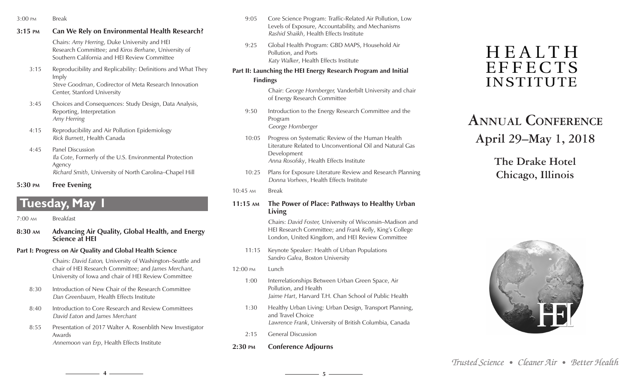- 3:00 pm Break
- **3:15 pm Can We Rely on Environmental Health Research?**

Chairs: *Amy Herring*, Duke University and HEI Research Committee; and *Kiros Berhane*, University of Southern California and HEI Review Committee

- 3:15 Reproducibility and Replicability: Definitions and What They Imply *Steve Goodman*, Codirector of Meta Research Innovation Center, Stanford University
- 3:45 Choices and Consequences: Study Design, Data Analysis, Reporting, Interpretation *Amy Herring*
- 4:15 Reproducibility and Air Pollution Epidemiology *Rick Burnett*, Health Canada
- 4:45 Panel Discussion *Ila Cote*, Formerly of the U.S. Environmental Protection Agency *Richard Smith*, University of North Carolina–Chapel Hill
- **5:30 pm Free Evening**

## **Tuesday, May 1**

- 7:00 am Breakfast
- **8:30 am Advancing Air Quality, Global Health, and Energy Science at HEI**
- **Part I: Progress on Air Quality and Global Health Science**

Chairs: *David Eaton,* University of Washington–Seattle and chair of HEI Research Committee; and *James Merchant,*  University of Iowa and chair of HEI Review Committee

- 8:30 Introduction of New Chair of the Research Committee *Dan Greenbaum*, Health Effects Institute
- 8:40 Introduction to Core Research and Review Committees *David Eaton* and *James Merchant*
- 8:55 Presentation of 2017 Walter A. Rosenblith New Investigator Awards *Annemoon van Erp*, Health Effects Institute
- 9:05 Core Science Program: Traffic-Related Air Pollution, Low Levels of Exposure, Accountability, and Mechanisms *Rashid Shaikh*, Health Effects Institute
- 9:25 Global Health Program: GBD MAPS, Household Air Pollution, and Ports *Katy Walker*, Health Effects Institute

#### **Part II: Launching the HEI Energy Research Program and Initial Findings**

Chair: *George Hornberger,* Vanderbilt University and chair of Energy Research Committee

- 9:50 Introduction to the Energy Research Committee and the Program *George Hornberger*
- 10:05 Progress on Systematic Review of the Human Health Literature Related to Unconventional Oil and Natural Gas Development *Anna Rosofsky*, Health Effects Institute
- 10:25 Plans for Exposure Literature Review and Research Planning *Donna Vorhees*, Health Effects Institute
- 10:45 am Break
- **11:15 am The Power of Place: Pathways to Healthy Urban Living**

Chairs: *David Foster,* University of Wisconsin–Madison and HEI Research Committee; and *Frank Kelly*, King's College London, United Kingdom, and HEI Review Committee

- 11:15 Keynote Speaker: Health of Urban Populations *Sandro Galea*, Boston University
- 12:00 pm Lunch

**4 5**

- 1:00 Interrelationships Between Urban Green Space, Air Pollution, and Health *Jaime Hart*, Harvard T.H. Chan School of Public Health
- 1:30 Healthy Urban Living: Urban Design, Transport Planning, and Travel Choice *Lawrence Frank*, University of British Columbia, Canada
- 2:15 General Discussion
- **2:30 pm Conference Adjourns**

# **HEALTH EFFECTS** INSTITUTE

# **Annual Conference April 29–May 1, 2018**

## **The Drake Hotel Chicago, Illinois**



*Trusted Science • Cleaner Air • Better Health*